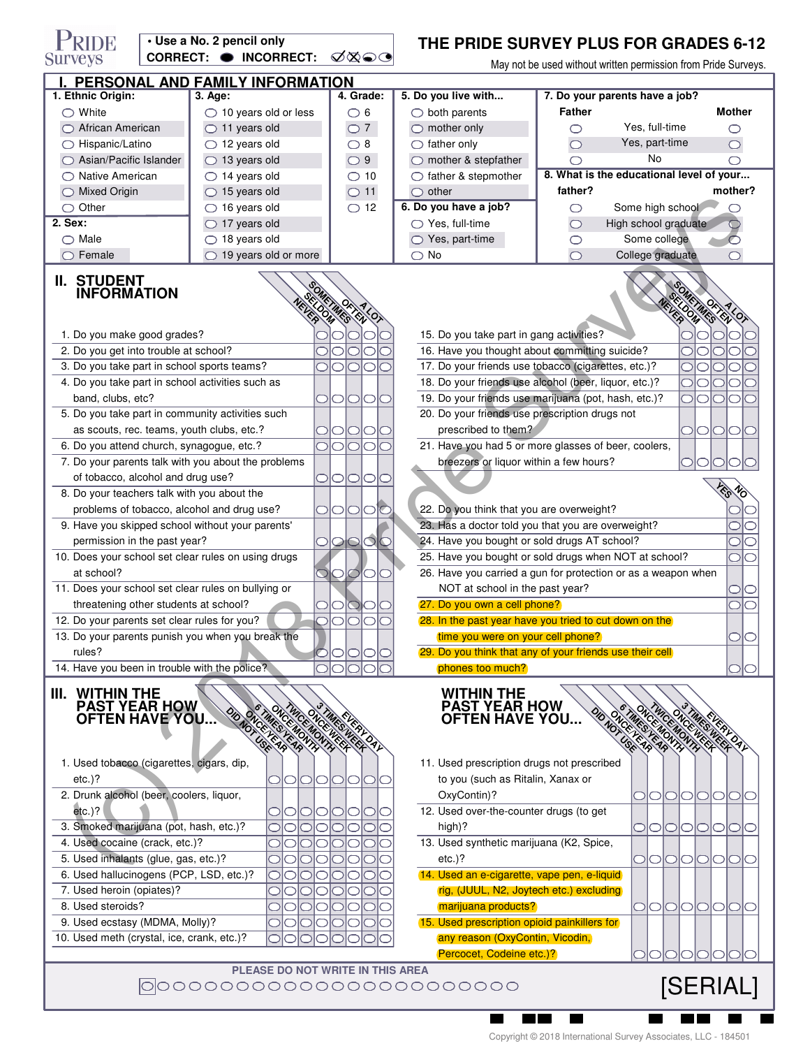| PRIDE<br>• Use a No. 2 pencil only<br>CORRECT: O INCORRECT:                                                                   |             |                                                    |                                                 |                                                    | THE PRIDE SURVEY PLUS FOR GRADES 6-12                                                                                 |                                                     |                      |                     |  |
|-------------------------------------------------------------------------------------------------------------------------------|-------------|----------------------------------------------------|-------------------------------------------------|----------------------------------------------------|-----------------------------------------------------------------------------------------------------------------------|-----------------------------------------------------|----------------------|---------------------|--|
| Surveys                                                                                                                       |             |                                                    |                                                 | ∅⊗⊝                                                | May not be used without written permission from Pride Surveys.                                                        |                                                     |                      |                     |  |
| PERSONAL AND FAMILY INFORMATION                                                                                               |             |                                                    |                                                 |                                                    |                                                                                                                       |                                                     |                      |                     |  |
| 1. Ethnic Origin:                                                                                                             |             | 3. Age:                                            |                                                 | 4. Grade:                                          | 5. Do you live with                                                                                                   | 7. Do your parents have a job?                      |                      |                     |  |
| $\bigcirc$ White                                                                                                              |             | $\bigcirc$ 10 years old or less                    |                                                 | $\bigcirc$ 6                                       | $\bigcirc$ both parents                                                                                               | <b>Father</b>                                       |                      | <b>Mother</b>       |  |
| ◯ African American                                                                                                            |             | $\bigcirc$ 11 years old                            |                                                 | $\bigcirc$ 7                                       | $\bigcirc$ mother only                                                                                                | ⌒                                                   | Yes, full-time       | O                   |  |
| ◯ Hispanic/Latino<br>$\bigcirc$ Asian/Pacific Islander                                                                        |             | $\bigcirc$ 12 years old                            |                                                 | $\bigcirc$ 8                                       | $\bigcirc$ father only                                                                                                | $\circlearrowright$                                 | Yes, part-time<br>No | $\bigcirc$          |  |
|                                                                                                                               |             | $\bigcirc$ 13 years old                            |                                                 | $\bigcirc$ 9                                       | $\bigcirc$ mother & stepfather                                                                                        | ⊂                                                   |                      | O                   |  |
| ◯ Native American                                                                                                             |             | $\bigcirc$ 14 years old<br>$\bigcirc$ 15 years old |                                                 | $\bigcirc$ 10                                      | $\bigcirc$ father & stepmother                                                                                        | 8. What is the educational level of your<br>father? |                      | mother?             |  |
| $\bigcirc$ Mixed Origin<br>$\bigcirc$ Other                                                                                   |             | $\bigcirc$ 16 years old                            |                                                 | $\bigcirc$ 11                                      | $\bigcirc$ other<br>6. Do you have a job?                                                                             | O                                                   | Some high school     |                     |  |
| 2. Sex:                                                                                                                       |             | $\bigcirc$ 17 years old                            |                                                 | $\bigcirc$ 12                                      | $\bigcirc$ Yes, full-time                                                                                             | O                                                   | High school graduate |                     |  |
| $\bigcirc$ Male                                                                                                               |             | $\bigcirc$ 18 years old                            |                                                 |                                                    | $\bigcirc$ Yes, part-time                                                                                             | O                                                   | Some college         | $\circ$             |  |
|                                                                                                                               | Female<br>◯ |                                                    | $\bigcirc$ 19 years old or more                 |                                                    | $\bigcirc$ No                                                                                                         | $\bigcirc$                                          | College graduate     | ◯                   |  |
|                                                                                                                               |             |                                                    |                                                 |                                                    |                                                                                                                       |                                                     |                      |                     |  |
| II. STUDENT<br><b>INFORMATION</b><br>METARCI AL<br>METAMESTEN<br>$\sqrt[4]{\langle}$<br>ESOM<br>YOX                           |             |                                                    |                                                 |                                                    |                                                                                                                       |                                                     |                      |                     |  |
| 1. Do you make good grades?                                                                                                   |             |                                                    |                                                 |                                                    | 15. Do you take part in gang activities?                                                                              |                                                     |                      |                     |  |
| 2. Do you get into trouble at school?                                                                                         |             |                                                    |                                                 |                                                    | 16. Have you thought about committing suicide?                                                                        |                                                     |                      |                     |  |
| 3. Do you take part in school sports teams?                                                                                   |             |                                                    |                                                 | $\bigcirc$<br>$\bigcirc$ l<br>⊂                    | 17. Do your friends use tobacco (cigarettes, etc.)?                                                                   |                                                     |                      |                     |  |
| 4. Do you take part in school activities such as                                                                              |             |                                                    |                                                 |                                                    | 18. Do your friends use alcohol (beer, liquor, etc.)?                                                                 |                                                     |                      |                     |  |
| band, clubs, etc?                                                                                                             |             |                                                    |                                                 | 0101010                                            | 19. Do your friends use marijuana (pot, hash, etc.)?<br>lO<br>$\bigcirc$<br>$\bigcirc$                                |                                                     |                      |                     |  |
| 5. Do you take part in community activities such                                                                              |             |                                                    |                                                 |                                                    | 20. Do your friends use prescription drugs not                                                                        |                                                     |                      |                     |  |
|                                                                                                                               |             | as scouts, rec. teams, youth clubs, etc.?          |                                                 | 0101010                                            | prescribed to them?<br>01010                                                                                          |                                                     |                      |                     |  |
| 6. Do you attend church, synagogue, etc.?                                                                                     |             |                                                    |                                                 | olol<br>IOIC                                       | 21. Have you had 5 or more glasses of beer, coolers,                                                                  |                                                     |                      |                     |  |
| 7. Do your parents talk with you about the problems                                                                           |             |                                                    |                                                 |                                                    | breezers or liquor within a few hours?<br>⌒<br>0<br>0                                                                 |                                                     |                      |                     |  |
| of tobacco, alcohol and drug use?                                                                                             |             |                                                    |                                                 | 0000                                               |                                                                                                                       |                                                     |                      |                     |  |
| 8. Do your teachers talk with you about the                                                                                   |             |                                                    |                                                 |                                                    |                                                                                                                       |                                                     |                      |                     |  |
| problems of tobacco, alcohol and drug use?                                                                                    |             |                                                    |                                                 | OlOlOlC                                            | 22. Do you think that you are overweight?                                                                             |                                                     |                      |                     |  |
| 9. Have you skipped school without your parents'                                                                              |             |                                                    |                                                 | 23. Has a doctor told you that you are overweight? |                                                                                                                       |                                                     |                      |                     |  |
| permission in the past year?<br>10. Does your school set clear rules on using drugs                                           |             |                                                    |                                                 | 0000                                               | 24. Have you bought or sold drugs AT school?<br>C<br>$\circ$<br>25. Have you bought or sold drugs when NOT at school? |                                                     |                      |                     |  |
| at school?                                                                                                                    |             |                                                    |                                                 |                                                    |                                                                                                                       |                                                     |                      |                     |  |
| 11. Does your school set clear rules on bullying or                                                                           |             |                                                    | $\circlearrowright$                             | $\circlearrowright$<br>00                          | 26. Have you carried a gun for protection or as a weapon when                                                         |                                                     |                      |                     |  |
| threatening other students at school?                                                                                         |             |                                                    |                                                 | $\cup$                                             | NOT at school in the past year?<br>27. Do you own a cell phone?<br>Ć                                                  |                                                     |                      |                     |  |
| 12. Do your parents set clear rules for you?                                                                                  |             |                                                    |                                                 |                                                    | 28. In the past year have you tried to cut down on the                                                                |                                                     |                      |                     |  |
| 13. Do your parents punish you when you break the                                                                             |             |                                                    |                                                 |                                                    | time you were on your cell phone?                                                                                     |                                                     |                      |                     |  |
| rules?                                                                                                                        |             |                                                    |                                                 |                                                    | (29. Do you think that any of your friends use their cell)                                                            |                                                     |                      |                     |  |
| 14. Have you been in trouble with the police?                                                                                 |             |                                                    |                                                 |                                                    | phones too much?                                                                                                      |                                                     |                      |                     |  |
| <b>WITHIN THE</b><br>Ш.<br><b>PAST YEAR HOW</b><br><b>OFTEN HAVE YOU.</b>                                                     |             |                                                    | ONCE MONTH<br><b>DD ON THE CAR CAR</b><br>MONTH |                                                    | <b>WITHIN THE</b><br><b>PAST YEAR HOW</b><br><b>OFTEN HAVE YOU</b>                                                    |                                                     | DD KOLESKE BROWNERS  | $\langle 0 \rangle$ |  |
| 1. Used tobacco (cigarettes, cigars, dip,                                                                                     |             |                                                    |                                                 |                                                    | 11. Used prescription drugs not prescribed                                                                            |                                                     |                      |                     |  |
| $etc.$ )?                                                                                                                     |             |                                                    | ○<br>$\cup$                                     | OIO<br>O                                           | to you (such as Ritalin, Xanax or                                                                                     |                                                     |                      |                     |  |
| 2. Drunk alcohol (beer, coolers, liquor,                                                                                      |             |                                                    |                                                 |                                                    | OxyContin)?                                                                                                           |                                                     | DIOIOIOIO            | O                   |  |
| $etc.$ )?                                                                                                                     |             |                                                    |                                                 | ◯                                                  | 12. Used over-the-counter drugs (to get                                                                               |                                                     |                      |                     |  |
| 3. Smoked marijuana (pot, hash, etc.)?                                                                                        |             |                                                    |                                                 |                                                    | high)?                                                                                                                |                                                     | <b>PIOIOIOICI</b>    | OIO                 |  |
| 4. Used cocaine (crack, etc.)?                                                                                                |             |                                                    |                                                 |                                                    | 13. Used synthetic marijuana (K2, Spice,                                                                              |                                                     |                      |                     |  |
| 5. Used inhalants (glue, gas, etc.)?                                                                                          |             |                                                    |                                                 |                                                    | $etc.$ )?                                                                                                             |                                                     | 01010101010          |                     |  |
| 6. Used hallucinogens (PCP, LSD, etc.)?                                                                                       |             |                                                    |                                                 |                                                    | 14. Used an e-cigarette, vape pen, e-liquid                                                                           |                                                     |                      |                     |  |
| 7. Used heroin (opiates)?                                                                                                     |             |                                                    |                                                 |                                                    | rig, (JUUL, N2, Joytech etc.) excluding                                                                               |                                                     |                      |                     |  |
| 8. Used steroids?<br>9. Used ecstasy (MDMA, Molly)?                                                                           |             |                                                    |                                                 | marijuana products?                                |                                                                                                                       | OIOIOIO                                             | O                    |                     |  |
| 15. Used prescription opioid painkillers for<br>10. Used meth (crystal, ice, crank, etc.)?<br>any reason (OxyContin, Vicodin, |             |                                                    |                                                 |                                                    |                                                                                                                       |                                                     |                      |                     |  |
|                                                                                                                               |             |                                                    |                                                 |                                                    | Percocet, Codeine etc.)?                                                                                              |                                                     |                      |                     |  |
|                                                                                                                               |             |                                                    |                                                 |                                                    |                                                                                                                       |                                                     |                      |                     |  |

**PLEASE DO NOT WRITE IN THIS AREA**

 $\blacksquare$   $\blacksquare$   $\blacksquare$ 

[SERIAL]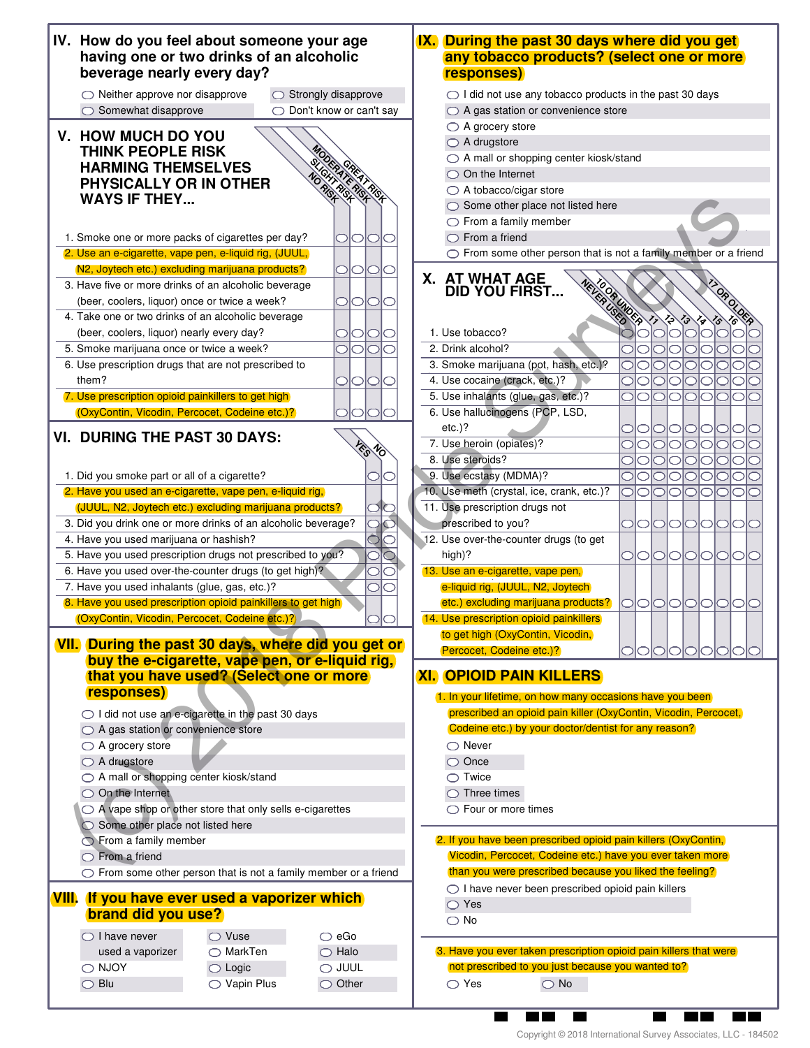| IV. How do you feel about someone your age<br>having one or two drinks of an alcoholic<br>beverage nearly every day? | IX. During the past 30 days where did you get<br>any tobacco products? (select one or more<br><b>responses)</b>         |
|----------------------------------------------------------------------------------------------------------------------|-------------------------------------------------------------------------------------------------------------------------|
| $\bigcirc$ Neither approve nor disapprove<br>$\bigcirc$ Strongly disapprove                                          | $\bigcirc$ I did not use any tobacco products in the past 30 days                                                       |
| $\bigcirc$ Somewhat disapprove<br>◯ Don't know or can't say                                                          | ◯ A gas station or convenience store                                                                                    |
| V. HOW MUCH DO YOU                                                                                                   | $\bigcirc$ A grocery store                                                                                              |
| <b>THINK PEOPLE RISK</b>                                                                                             | $\bigcirc$ A drugstore                                                                                                  |
| <b>HARMING THEMSELVES</b>                                                                                            | ◯ A mall or shopping center kiosk/stand                                                                                 |
| PHYSICALLY OR IN OTHER                                                                                               | $\bigcirc$ On the Internet                                                                                              |
| HT RE RIGH<br><b>WAYS IF THEY</b>                                                                                    | $\bigcirc$ A tobacco/cigar store                                                                                        |
|                                                                                                                      | $\bigcirc$ Some other place not listed here                                                                             |
|                                                                                                                      | $\bigcirc$ From a family member                                                                                         |
| 1. Smoke one or more packs of cigarettes per day?<br>01010                                                           | $\bigcirc$ From a friend                                                                                                |
| 2. Use an e-cigarette, vape pen, e-liquid rig, (JUUL,                                                                | ◯ From some other person that is not a family member or a friend                                                        |
| N2, Joytech etc.) excluding marijuana products?<br>01010                                                             | X. AT WHAT AGE                                                                                                          |
| 3. Have five or more drinks of an alcoholic beverage                                                                 | <b>Keyle Capitalists 11</b><br><b>DID YOU FIRST</b>                                                                     |
| (beer, coolers, liquor) once or twice a week?<br>OIOIO<br>C                                                          | OROLOGA                                                                                                                 |
| 4. Take one or two drinks of an alcoholic beverage                                                                   | ♢<br>13 18                                                                                                              |
| (beer, coolers, liquor) nearly every day?<br>$\bigcirc$ I $\bigcirc$<br>C<br>$\cup$                                  | $\circ$<br>1. Use tobacco?<br>$\overline{\circ}$                                                                        |
| 5. Smoke marijuana once or twice a week?<br>$\supset$<br>OIO                                                         | 2. Drink alcohol?<br>101010<br>$\bigcirc$                                                                               |
| 6. Use prescription drugs that are not prescribed to                                                                 | 3. Smoke marijuana (pot, hash, etc.)?<br>000000<br>$\bigcirc$                                                           |
| them?<br>IOIO<br>⊃<br>C                                                                                              | 4. Use cocaine (crack, etc.)?<br>000000<br> 0 0                                                                         |
| 7. Use prescription opioid painkillers to get high                                                                   | 5. Use inhalants (glue, gas, etc.)?<br>000000000                                                                        |
| (OxyContin, Vicodin, Percocet, Codeine etc.)?                                                                        | 6. Use hallucinogens (PCP, LSD,                                                                                         |
|                                                                                                                      | $etc.$ ?<br>00000000                                                                                                    |
| <b>VI. DURING THE PAST 30 DAYS:</b>                                                                                  | 7. Use heroin (opiates)?<br>000000<br> 0 0                                                                              |
|                                                                                                                      | 8. Use steroids?<br>00000000                                                                                            |
| 1. Did you smoke part or all of a cigarette?                                                                         | 9. Use ecstasy (MDMA)?<br>000000<br> 0 0                                                                                |
| 2. Have you used an e-cigarette, vape pen, e-liquid rig,                                                             | 10. Use meth (crystal, ice, crank, etc.)?<br>00000000                                                                   |
| (JUUL, N2, Joytech etc.) excluding marijuana products?<br>$\bigcirc$                                                 | 11. Use prescription drugs not                                                                                          |
| ਕੱਠ<br>3. Did you drink one or more drinks of an alcoholic beverage?                                                 | prescribed to you?<br> 0 0 0 0 0 0 0                                                                                    |
| Ò<br>4. Have you used marijuana or hashish?<br>C                                                                     | 12. Use over-the-counter drugs (to get                                                                                  |
| $\overline{\bigcirc}$<br>5. Have you used prescription drugs not prescribed to you?                                  | high)?<br>00000000                                                                                                      |
| 6. Have you used over-the-counter drugs (to get high)?<br>O                                                          | 13. Use an e-cigarette, vape pen,                                                                                       |
| 7. Have you used inhalants (glue, gas, etc.)?                                                                        | e-liquid rig, (JUUL, N2, Joytech)                                                                                       |
| 8. Have you used prescription opioid painkillers to get high                                                         | etc.) excluding marijuana products?<br>01010101<br>1010<br>$\bigcirc$ l                                                 |
| (OxyContin, Vicodin, Percocet, Codeine etc.)?)<br>니니                                                                 | 14. Use prescription opioid painkillers                                                                                 |
|                                                                                                                      | to get high (OxyContin, Vicodin,                                                                                        |
| VII. During the past 30 days, where did you get or                                                                   | Percocet, Codeine etc.)?                                                                                                |
| buy the e-cigarette, vape pen, or e-liquid rig,                                                                      |                                                                                                                         |
| that you have used? (Select one or more                                                                              | <b>XI. OPIOID PAIN KILLERS</b>                                                                                          |
| responses)                                                                                                           | 1. In your lifetime, on how many occasions have you been                                                                |
|                                                                                                                      |                                                                                                                         |
| ◯ I did not use an e-cigarette in the past 30 days                                                                   | prescribed an opioid pain killer (OxyContin, Vicodin, Percocet,<br>Codeine etc.) by your doctor/dentist for any reason? |
| $\bigcirc$ A gas station or convenience store                                                                        |                                                                                                                         |
| $\bigcirc$ A grocery store                                                                                           | $\bigcirc$ Never                                                                                                        |
| $\bigcirc$ A drugstore                                                                                               | $\bigcirc$ Once                                                                                                         |
| ◯ A mall or shopping center kiosk/stand                                                                              | $\bigcirc$ Twice                                                                                                        |
| $\bigcirc$ On the Internet                                                                                           | $\bigcirc$ Three times                                                                                                  |
| A vape shop or other store that only sells e-cigarettes                                                              | $\bigcirc$ Four or more times                                                                                           |
| Some other place not listed here                                                                                     |                                                                                                                         |
| From a family member                                                                                                 | 2. If you have been prescribed opioid pain killers (OxyContin,                                                          |
| $\bigcirc$ From a friend                                                                                             | Vicodin, Percocet, Codeine etc.) have you ever taken more                                                               |
| $\circlearrowright$ From some other person that is not a family member or a friend                                   | than you were prescribed because you liked the feeling?                                                                 |
|                                                                                                                      | $\bigcirc$ I have never been prescribed opioid pain killers                                                             |
|                                                                                                                      | $\bigcirc$ Yes                                                                                                          |
| <b>brand did you use?</b>                                                                                            | $\bigcirc$ No                                                                                                           |
| $\bigcirc$ I have never<br>$\bigcirc$ Vuse<br>$\bigcirc$ eGo                                                         |                                                                                                                         |
| $\bigcirc$ MarkTen<br>used a vaporizer<br>$\bigcirc$ Halo                                                            | 3. Have you ever taken prescription opioid pain killers that were                                                       |
| $\bigcirc$ NJOY<br>$\bigcirc$ JUUL<br>$\bigcirc$ Logic                                                               | not prescribed to you just because you wanted to?                                                                       |
| <b>VIII.</b> If you have ever used a vaporizer which<br>$\bigcirc$ Other<br>$\bigcirc$ Blu<br>$\bigcirc$ Vapin Plus  | $\bigcirc$ Yes<br>$\bigcirc$ No                                                                                         |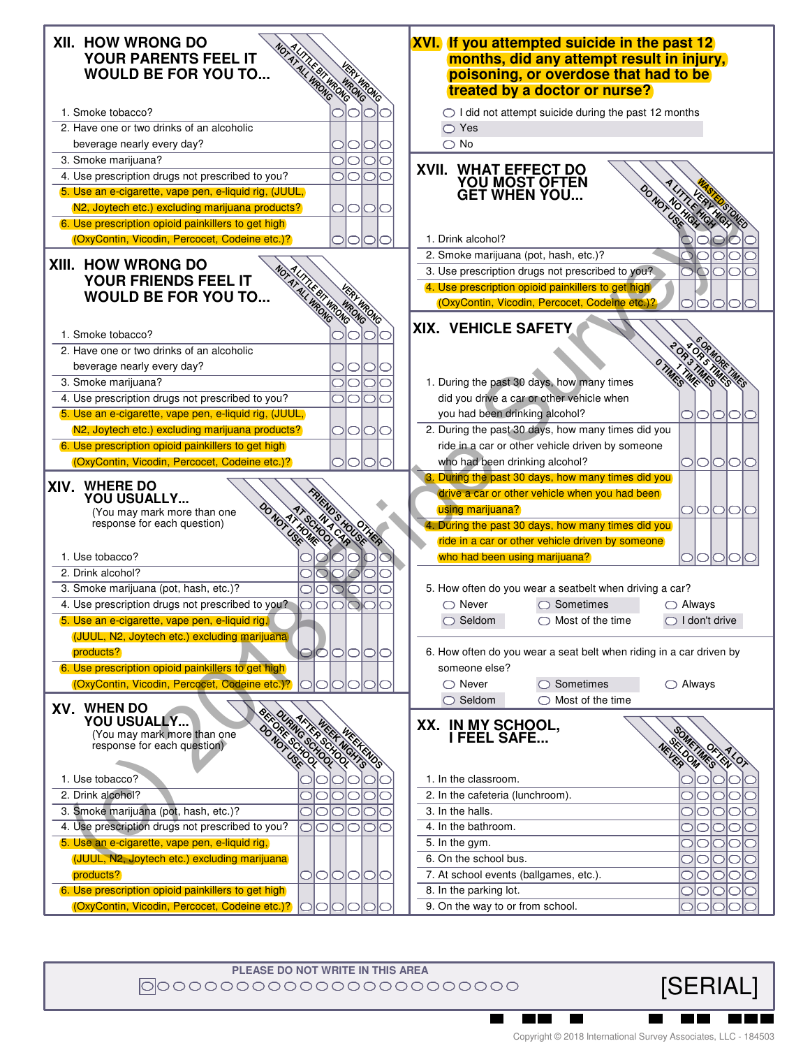

**PLEASE DO NOT WRITE IN THIS AREA** |0|00000000000000000000000

 $\blacksquare$ 

 $\blacksquare$ 

[SERIAL]

W T